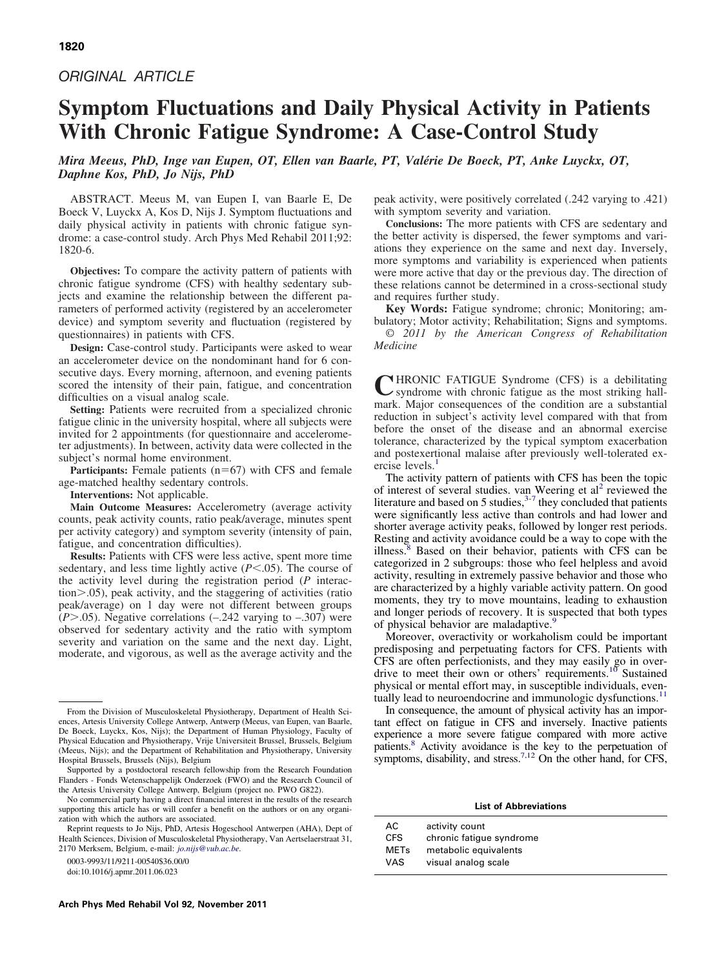## *ORIGINAL ARTICLE*

# **Symptom Fluctuations and Daily Physical Activity in Patients With Chronic Fatigue Syndrome: A Case-Control Study**

*Mira Meeus, PhD, Inge van Eupen, OT, Ellen van Baarle, PT, Valérie De Boeck, PT, Anke Luyckx, OT, Daphne Kos, PhD, Jo Nijs, PhD*

ABSTRACT. Meeus M, van Eupen I, van Baarle E, De Boeck V, Luyckx A, Kos D, Nijs J. Symptom fluctuations and daily physical activity in patients with chronic fatigue syndrome: a case-control study. Arch Phys Med Rehabil 2011;92: 1820-6.

**Objectives:** To compare the activity pattern of patients with chronic fatigue syndrome (CFS) with healthy sedentary subjects and examine the relationship between the different parameters of performed activity (registered by an accelerometer device) and symptom severity and fluctuation (registered by questionnaires) in patients with CFS.

**Design:** Case-control study. Participants were asked to wear an accelerometer device on the nondominant hand for 6 consecutive days. Every morning, afternoon, and evening patients scored the intensity of their pain, fatigue, and concentration difficulties on a visual analog scale.

**Setting:** Patients were recruited from a specialized chronic fatigue clinic in the university hospital, where all subjects were invited for 2 appointments (for questionnaire and accelerometer adjustments). In between, activity data were collected in the subject's normal home environment.

**Participants:** Female patients  $(n=67)$  with CFS and female age-matched healthy sedentary controls.

**Interventions:** Not applicable.

**Main Outcome Measures:** Accelerometry (average activity counts, peak activity counts, ratio peak/average, minutes spent per activity category) and symptom severity (intensity of pain, fatigue, and concentration difficulties).

**Results:** Patients with CFS were less active, spent more time sedentary, and less time lightly active  $(P<.05)$ . The course of the activity level during the registration period (*P* interac $tion$  $\geq$ .05), peak activity, and the staggering of activities (ratio peak/average) on 1 day were not different between groups  $(P > .05)$ . Negative correlations  $(-.242 \text{ varying to } -.307)$  were observed for sedentary activity and the ratio with symptom severity and variation on the same and the next day. Light, moderate, and vigorous, as well as the average activity and the

0003-9993/11/9211-00540\$36.00/0

doi:10.1016/j.apmr.2011.06.023

peak activity, were positively correlated (.242 varying to .421) with symptom severity and variation.

**Conclusions:** The more patients with CFS are sedentary and the better activity is dispersed, the fewer symptoms and variations they experience on the same and next day. Inversely, more symptoms and variability is experienced when patients were more active that day or the previous day. The direction of these relations cannot be determined in a cross-sectional study and requires further study.

**Key Words:** Fatigue syndrome; chronic; Monitoring; ambulatory; Motor activity; Rehabilitation; Signs and symptoms.

© *2011 by the American Congress of Rehabilitation Medicine*

CHRONIC FATIGUE Syndrome (CFS) is a debilitating<br>syndrome with chronic fatigue as the most striking hallmark. Major consequences of the condition are a substantial reduction in subject's activity level compared with that from before the onset of the disease and an abnormal exercise tolerance, characterized by the typical symptom exacerbation and postexertional malaise after previously well-tolerated exercise levels.<sup>1</sup>

The activity pattern of patients with CFS has been the topic of interest of several studies. van Weering et al<sup>2</sup> reviewed the literature and based on 5 studies, $3-7$  they concluded that patients were significantly less active than controls and had lower and shorter average activity peaks, followed by longer rest periods. Resting and activity avoidance could be a way to cope with the illness[.8](#page-6-3) Based on their behavior, patients with CFS can be categorized in 2 subgroups: those who feel helpless and avoid activity, resulting in extremely passive behavior and those who are characterized by a highly variable activity pattern. On good moments, they try to move mountains, leading to exhaustion and longer periods of recovery. It is suspected that both types of physical behavior are maladaptive.<sup>9</sup>

Moreover, overactivity or workaholism could be important predisposing and perpetuating factors for CFS. Patients with CFS are often perfectionists, and they may easily go in over-drive to meet their own or others' requirements.<sup>[10](#page-6-5)</sup> Sustained physical or mental effort may, in susceptible individuals, even-tually lead to neuroendocrine and immunologic dysfunctions.<sup>[11](#page-6-6)</sup>

In consequence, the amount of physical activity has an important effect on fatigue in CFS and inversely. Inactive patients experience a more severe fatigue compared with more active patients[.8](#page-6-3) Activity avoidance is the key to the perpetuation of symptoms, disability, and stress.<sup>7,12</sup> On the other hand, for CFS,

**List of Abbreviations**

| AC.  | activity count           |
|------|--------------------------|
| CFS. | chronic fatique syndrome |
| METs | metabolic equivalents    |
| VAS. | visual analog scale      |

From the Division of Musculoskeletal Physiotherapy, Department of Health Sciences, Artesis University College Antwerp, Antwerp (Meeus, van Eupen, van Baarle, De Boeck, Luyckx, Kos, Nijs); the Department of Human Physiology, Faculty of Physical Education and Physiotherapy, Vrije Universiteit Brussel, Brussels, Belgium (Meeus, Nijs); and the Department of Rehabilitation and Physiotherapy, University Hospital Brussels, Brussels (Nijs), Belgium

Supported by a postdoctoral research fellowship from the Research Foundation Flanders - Fonds Wetenschappelijk Onderzoek (FWO) and the Research Council of the Artesis University College Antwerp, Belgium (project no. PWO G822).

No commercial party having a direct financial interest in the results of the research supporting this article has or will confer a benefit on the authors or on any organization with which the authors are associated.

Reprint requests to Jo Nijs, PhD, Artesis Hogeschool Antwerpen (AHA), Dept of Health Sciences, Division of Musculoskeletal Physiotherapy, Van Aertselaerstraat 31, 2170 Merksem, Belgium, e-mail: *[jo.nijs@vub.ac.be.](mailto:jo.nijs@vub.ac.be)*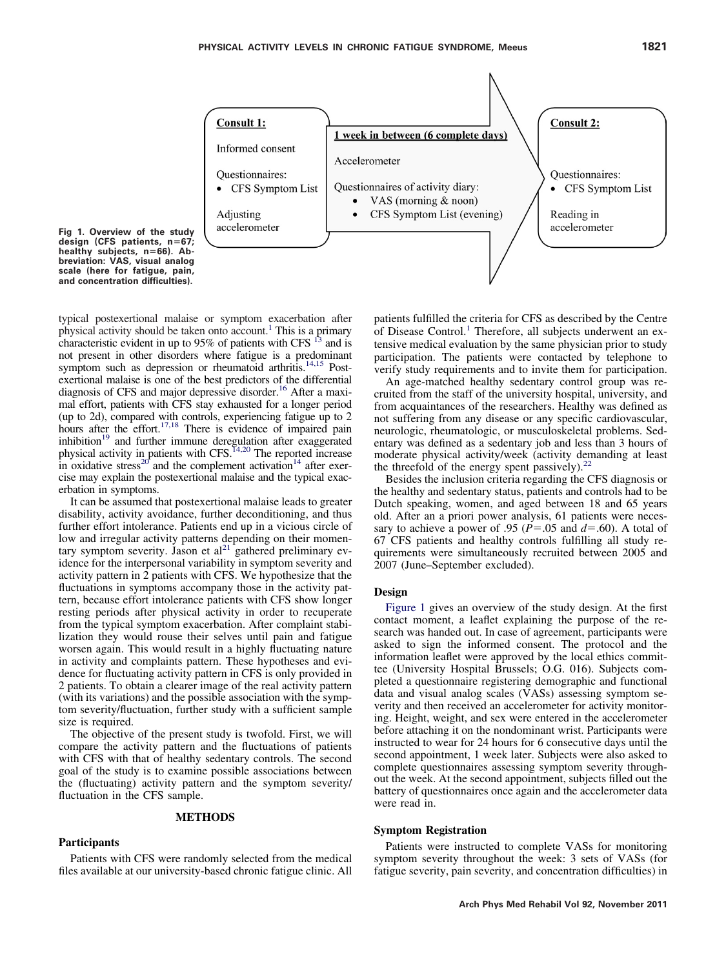

<span id="page-1-0"></span>**Fig 1. Overview of the study design (CFS patients, n67;** healthy subjects, n=66). Ab**breviation: VAS, visual analog scale (here for fatigue, pain, and concentration difficulties).**

typical postexertional malaise or symptom exacerbation after physical activity should be taken onto account[.1](#page-6-0) This is a primary characteristic evident in up to 95% of patients with CFS  $^{13}$  $^{13}$  $^{13}$  and is not present in other disorders where fatigue is a predominant symptom such as depression or rheumatoid arthritis.<sup>14,15</sup> Postexertional malaise is one of the best predictors of the differential diagnosis of CFS and major depressive disorder.<sup>16</sup> After a maximal effort, patients with CFS stay exhausted for a longer period (up to 2d), compared with controls, experiencing fatigue up to 2 hours after the effort.<sup>17,18</sup> There is evidence of impaired pain inhibition<sup>19</sup> and further immune deregulation after exaggerated physical activity in patients with CFS.<sup>14,20</sup> The reported increase in oxidative stress<sup>20</sup> and the complement activation<sup>14</sup> after exercise may explain the postexertional malaise and the typical exacerbation in symptoms.

It can be assumed that postexertional malaise leads to greater disability, activity avoidance, further deconditioning, and thus further effort intolerance. Patients end up in a vicious circle of low and irregular activity patterns depending on their momentary symptom severity. Jason et  $al<sup>21</sup>$  gathered preliminary evidence for the interpersonal variability in symptom severity and activity pattern in 2 patients with CFS. We hypothesize that the fluctuations in symptoms accompany those in the activity pattern, because effort intolerance patients with CFS show longer resting periods after physical activity in order to recuperate from the typical symptom exacerbation. After complaint stabilization they would rouse their selves until pain and fatigue worsen again. This would result in a highly fluctuating nature in activity and complaints pattern. These hypotheses and evidence for fluctuating activity pattern in CFS is only provided in 2 patients. To obtain a clearer image of the real activity pattern (with its variations) and the possible association with the symptom severity/fluctuation, further study with a sufficient sample size is required.

The objective of the present study is twofold. First, we will compare the activity pattern and the fluctuations of patients with CFS with that of healthy sedentary controls. The second goal of the study is to examine possible associations between the (fluctuating) activity pattern and the symptom severity/ fluctuation in the CFS sample.

## **METHODS**

## **Participants**

Patients with CFS were randomly selected from the medical files available at our university-based chronic fatigue clinic. All

patients fulfilled the criteria for CFS as described by the Centre of Disease Control.<sup>[1](#page-6-0)</sup> Therefore, all subjects underwent an extensive medical evaluation by the same physician prior to study participation. The patients were contacted by telephone to verify study requirements and to invite them for participation.

An age-matched healthy sedentary control group was recruited from the staff of the university hospital, university, and from acquaintances of the researchers. Healthy was defined as not suffering from any disease or any specific cardiovascular, neurologic, rheumatologic, or musculoskeletal problems. Sedentary was defined as a sedentary job and less than 3 hours of moderate physical activity/week (activity demanding at least the threefold of the energy spent passively).  $22$ 

Besides the inclusion criteria regarding the CFS diagnosis or the healthy and sedentary status, patients and controls had to be Dutch speaking, women, and aged between 18 and 65 years old. After an a priori power analysis, 61 patients were necessary to achieve a power of .95 ( $P = .05$  and  $d = .60$ ). A total of 67 CFS patients and healthy controls fulfilling all study requirements were simultaneously recruited between 2005 and 2007 (June–September excluded).

## **Design**

[Figure 1](#page-1-0) gives an overview of the study design. At the first contact moment, a leaflet explaining the purpose of the research was handed out. In case of agreement, participants were asked to sign the informed consent. The protocol and the information leaflet were approved by the local ethics committee (University Hospital Brussels; O.G. 016). Subjects completed a questionnaire registering demographic and functional data and visual analog scales (VASs) assessing symptom severity and then received an accelerometer for activity monitoring. Height, weight, and sex were entered in the accelerometer before attaching it on the nondominant wrist. Participants were instructed to wear for 24 hours for 6 consecutive days until the second appointment, 1 week later. Subjects were also asked to complete questionnaires assessing symptom severity throughout the week. At the second appointment, subjects filled out the battery of questionnaires once again and the accelerometer data were read in.

#### **Symptom Registration**

Patients were instructed to complete VASs for monitoring symptom severity throughout the week: 3 sets of VASs (for fatigue severity, pain severity, and concentration difficulties) in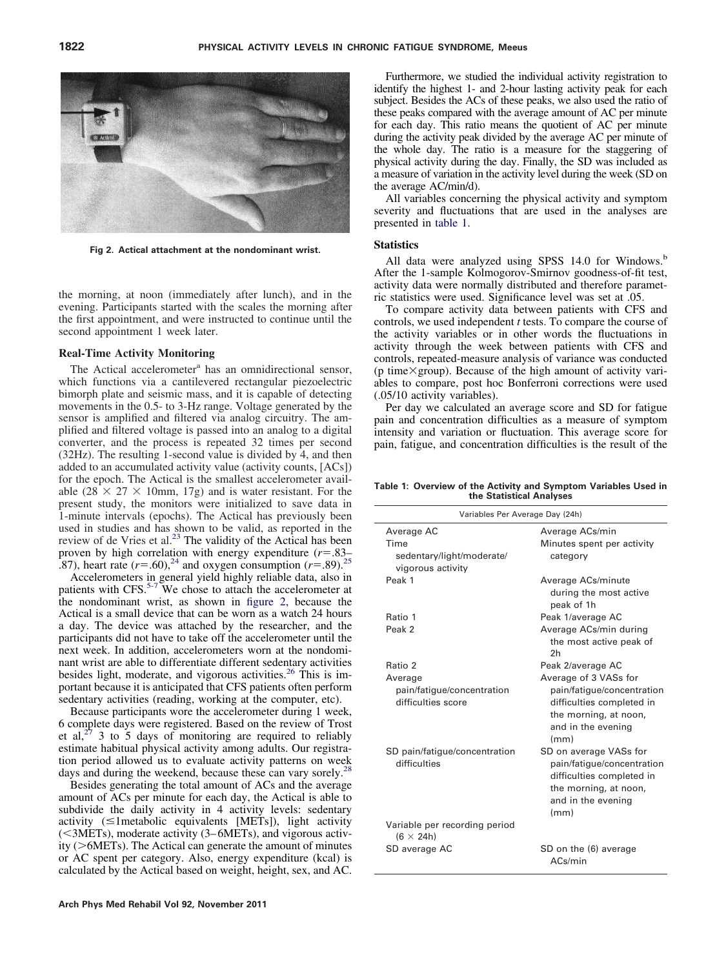

**Fig 2. Actical attachment at the nondominant wrist.**

<span id="page-2-0"></span>the morning, at noon (immediately after lunch), and in the evening. Participants started with the scales the morning after the first appointment, and were instructed to continue until the second appointment 1 week later.

## **Real-Time Activity Monitoring**

The Actical accelerometer<sup>a</sup> has an omnidirectional sensor, which functions via a cantilevered rectangular piezoelectric bimorph plate and seismic mass, and it is capable of detecting movements in the 0.5- to 3-Hz range. Voltage generated by the sensor is amplified and filtered via analog circuitry. The amplified and filtered voltage is passed into an analog to a digital converter, and the process is repeated 32 times per second (32Hz). The resulting 1-second value is divided by 4, and then added to an accumulated activity value (activity counts, [ACs]) for the epoch. The Actical is the smallest accelerometer available (28  $\times$  27  $\times$  10mm, 17g) and is water resistant. For the present study, the monitors were initialized to save data in 1-minute intervals (epochs). The Actical has previously been used in studies and has shown to be valid, as reported in the review of de Vries et al.<sup>23</sup> The validity of the Actical has been proven by high correlation with energy expenditure  $(r=.83-$ .87), heart rate  $(r=.60)$ ,<sup>[24](#page-6-17)</sup> and oxygen consumption  $(r=.89)$ .<sup>[25](#page-6-18)</sup>

Accelerometers in general yield highly reliable data, also in patients with CFS.<sup>[5-7](#page-6-19)</sup> We chose to attach the accelerometer at the nondominant wrist, as shown in [figure 2,](#page-2-0) because the Actical is a small device that can be worn as a watch 24 hours a day. The device was attached by the researcher, and the participants did not have to take off the accelerometer until the next week. In addition, accelerometers worn at the nondominant wrist are able to differentiate different sedentary activities besides light, moderate, and vigorous activities.<sup>26</sup> This is important because it is anticipated that CFS patients often perform sedentary activities (reading, working at the computer, etc).

Because participants wore the accelerometer during 1 week, 6 complete days were registered. Based on the review of Trost et al,  $2^{7}$  3 to 5 days of monitoring are required to reliably estimate habitual physical activity among adults. Our registration period allowed us to evaluate activity patterns on week days and during the weekend, because these can vary sorely.<sup>[28](#page-6-22)</sup>

Besides generating the total amount of ACs and the average amount of ACs per minute for each day, the Actical is able to subdivide the daily activity in 4 activity levels: sedentary activity  $(\leq 1$ metabolic equivalents [METs]), light activity (<3METs), moderate activity (3–6METs), and vigorous activity ( $>6METs$ ). The Actical can generate the amount of minutes or AC spent per category. Also, energy expenditure (kcal) is calculated by the Actical based on weight, height, sex, and AC.

Furthermore, we studied the individual activity registration to identify the highest 1- and 2-hour lasting activity peak for each subject. Besides the ACs of these peaks, we also used the ratio of these peaks compared with the average amount of AC per minute for each day. This ratio means the quotient of AC per minute during the activity peak divided by the average AC per minute of the whole day. The ratio is a measure for the staggering of physical activity during the day. Finally, the SD was included as a measure of variation in the activity level during the week (SD on the average AC/min/d).

All variables concerning the physical activity and symptom severity and fluctuations that are used in the analyses are presented in [table 1.](#page-2-1)

## **Statistics**

All data were analyzed using SPSS 14.0 for Windows.<sup>b</sup> After the 1-sample Kolmogorov-Smirnov goodness-of-fit test, activity data were normally distributed and therefore parametric statistics were used. Significance level was set at .05.

To compare activity data between patients with CFS and controls, we used independent *t* tests. To compare the course of the activity variables or in other words the fluctuations in activity through the week between patients with CFS and controls, repeated-measure analysis of variance was conducted (p time $\times$ group). Because of the high amount of activity variables to compare, post hoc Bonferroni corrections were used (.05/10 activity variables).

Per day we calculated an average score and SD for fatigue pain and concentration difficulties as a measure of symptom intensity and variation or fluctuation. This average score for pain, fatigue, and concentration difficulties is the result of the

<span id="page-2-1"></span>**Table 1: Overview of the Activity and Symptom Variables Used in the Statistical Analyses**

| Variables Per Average Day (24h)               |                                                      |  |  |  |  |  |  |
|-----------------------------------------------|------------------------------------------------------|--|--|--|--|--|--|
| Average AC                                    | Average ACs/min                                      |  |  |  |  |  |  |
| Time                                          | Minutes spent per activity                           |  |  |  |  |  |  |
| sedentary/light/moderate/                     | category                                             |  |  |  |  |  |  |
| vigorous activity                             |                                                      |  |  |  |  |  |  |
| Peak 1                                        | Average ACs/minute                                   |  |  |  |  |  |  |
|                                               | during the most active                               |  |  |  |  |  |  |
|                                               | peak of 1h                                           |  |  |  |  |  |  |
| Ratio 1                                       | Peak 1/average AC                                    |  |  |  |  |  |  |
| Peak <sub>2</sub>                             | Average ACs/min during                               |  |  |  |  |  |  |
|                                               | the most active peak of<br>2 <sub>h</sub>            |  |  |  |  |  |  |
| Ratio 2                                       | Peak 2/average AC                                    |  |  |  |  |  |  |
| Average                                       | Average of 3 VASs for                                |  |  |  |  |  |  |
| pain/fatigue/concentration                    | pain/fatigue/concentration                           |  |  |  |  |  |  |
| difficulties score                            | difficulties completed in                            |  |  |  |  |  |  |
|                                               | the morning, at noon,                                |  |  |  |  |  |  |
|                                               | and in the evening                                   |  |  |  |  |  |  |
|                                               | (mm)                                                 |  |  |  |  |  |  |
| SD pain/fatique/concentration<br>difficulties | SD on average VASs for<br>pain/fatigue/concentration |  |  |  |  |  |  |
|                                               | difficulties completed in                            |  |  |  |  |  |  |
|                                               | the morning, at noon,                                |  |  |  |  |  |  |
|                                               | and in the evening                                   |  |  |  |  |  |  |
|                                               | (mm)                                                 |  |  |  |  |  |  |
| Variable per recording period                 |                                                      |  |  |  |  |  |  |
| $(6 \times 24h)$                              |                                                      |  |  |  |  |  |  |
| SD average AC                                 | SD on the (6) average                                |  |  |  |  |  |  |
|                                               | ACs/min                                              |  |  |  |  |  |  |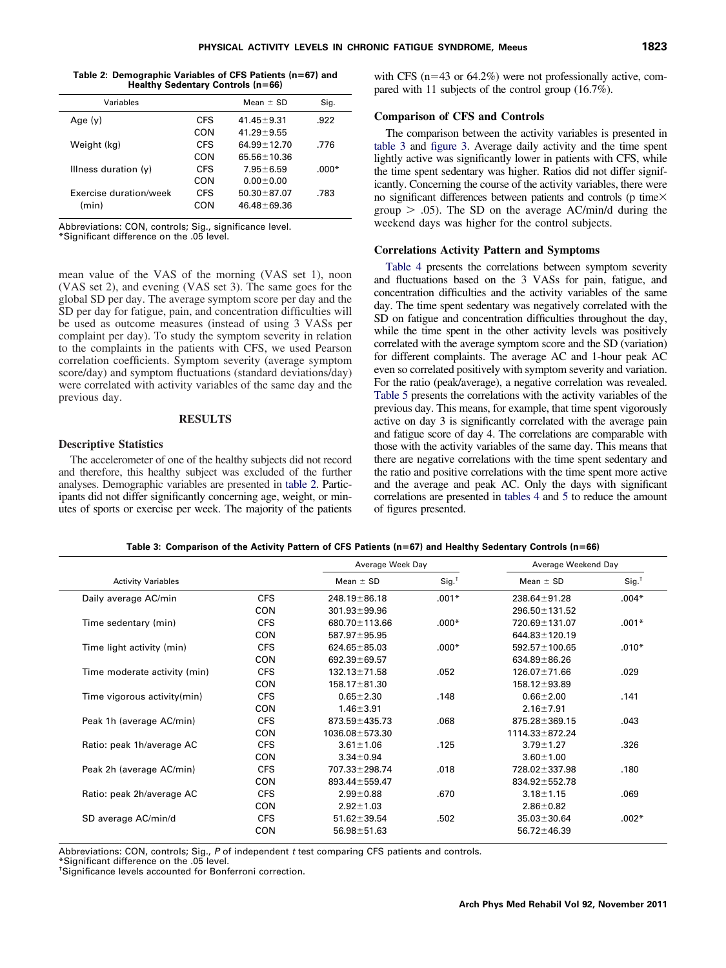<span id="page-3-0"></span>

| Variables              |            | Mean $+$ SD       | Sig.    |
|------------------------|------------|-------------------|---------|
| Age (y)                | <b>CFS</b> | $41.45 + 9.31$    | .922    |
|                        | CON        | $41.29 \pm 9.55$  |         |
| Weight (kg)            | <b>CFS</b> | $64.99 \pm 12.70$ | .776    |
|                        | CON        | $65.56 + 10.36$   |         |
| Illness duration $(y)$ | <b>CFS</b> | $7.95 \pm 6.59$   | $.000*$ |
|                        | CON        | $0.00 + 0.00$     |         |
| Exercise duration/week | <b>CFS</b> | $50.30 \pm 87.07$ | .783    |
| (min)                  | CON        | $46.48 + 69.36$   |         |
|                        |            |                   |         |

Abbreviations: CON, controls; Sig., significance level. \*Significant difference on the .05 level.

mean value of the VAS of the morning (VAS set 1), noon (VAS set 2), and evening (VAS set 3). The same goes for the global SD per day. The average symptom score per day and the SD per day for fatigue, pain, and concentration difficulties will be used as outcome measures (instead of using 3 VASs per complaint per day). To study the symptom severity in relation to the complaints in the patients with CFS, we used Pearson correlation coefficients. Symptom severity (average symptom score/day) and symptom fluctuations (standard deviations/day) were correlated with activity variables of the same day and the previous day.

## **RESULTS**

## **Descriptive Statistics**

The accelerometer of one of the healthy subjects did not record and therefore, this healthy subject was excluded of the further analyses. Demographic variables are presented in [table 2.](#page-3-0) Participants did not differ significantly concerning age, weight, or minutes of sports or exercise per week. The majority of the patients with CFS ( $n=43$  or 64.2%) were not professionally active, compared with 11 subjects of the control group (16.7%).

## **Comparison of CFS and Controls**

The comparison between the activity variables is presented in [table 3](#page-3-1) and [figure 3.](#page-4-0) Average daily activity and the time spent lightly active was significantly lower in patients with CFS, while the time spent sedentary was higher. Ratios did not differ significantly. Concerning the course of the activity variables, there were no significant differences between patients and controls (p time $\times$ group  $> .05$ ). The SD on the average AC/min/d during the weekend days was higher for the control subjects.

## **Correlations Activity Pattern and Symptoms**

[Table 4](#page-4-1) presents the correlations between symptom severity and fluctuations based on the 3 VASs for pain, fatigue, and concentration difficulties and the activity variables of the same day. The time spent sedentary was negatively correlated with the SD on fatigue and concentration difficulties throughout the day, while the time spent in the other activity levels was positively correlated with the average symptom score and the SD (variation) for different complaints. The average AC and 1-hour peak AC even so correlated positively with symptom severity and variation. For the ratio (peak/average), a negative correlation was revealed. [Table 5](#page-5-0) presents the correlations with the activity variables of the previous day. This means, for example, that time spent vigorously active on day 3 is significantly correlated with the average pain and fatigue score of day 4. The correlations are comparable with those with the activity variables of the same day. This means that there are negative correlations with the time spent sedentary and the ratio and positive correlations with the time spent more active and the average and peak AC. Only the days with significant correlations are presented in [tables 4](#page-4-1) and [5](#page-5-0) to reduce the amount of figures presented.

<span id="page-3-1"></span>

|  | (n=66) Table 3: Comparison of the Activity Pattern of CFS Patients (n=67) and Healthy Sedentary Controls |  |  |  |  |  |  |  |  |  |  |  |
|--|----------------------------------------------------------------------------------------------------------|--|--|--|--|--|--|--|--|--|--|--|
|--|----------------------------------------------------------------------------------------------------------|--|--|--|--|--|--|--|--|--|--|--|

|                              |               | Average Week Day     |               | Average Weekend Day |         |  |
|------------------------------|---------------|----------------------|---------------|---------------------|---------|--|
| <b>Activity Variables</b>    | Mean $\pm$ SD | Sig. <sup>†</sup>    | Mean $\pm$ SD | Sig. <sup>†</sup>   |         |  |
| Daily average AC/min         | <b>CFS</b>    | $248.19 \pm 86.18$   | $.001*$       | $238.64 \pm 91.28$  | $.004*$ |  |
|                              | CON           | $301.93 \pm 99.96$   |               | $296.50 \pm 131.52$ |         |  |
| Time sedentary (min)         | <b>CFS</b>    | 680.70 ± 113.66      | $.000*$       | $720.69 \pm 131.07$ | $.001*$ |  |
|                              | <b>CON</b>    | $587.97 \pm 95.95$   |               | $644.83 \pm 120.19$ |         |  |
| Time light activity (min)    | <b>CFS</b>    | $624.65 \pm 85.03$   | $.000*$       | $592.57 \pm 100.65$ | $.010*$ |  |
|                              | <b>CON</b>    | $692.39 \pm 69.57$   |               | 634.89 ± 86.26      |         |  |
| Time moderate activity (min) | <b>CFS</b>    | $132.13 \pm 71.58$   | .052          | 126.07 ± 71.66      | .029    |  |
|                              | CON           | $158.17 \pm 81.30$   |               | $158.12 \pm 93.89$  |         |  |
| Time vigorous activity(min)  | <b>CFS</b>    | $0.65 \pm 2.30$      | .148          | $0.66 \pm 2.00$     | .141    |  |
|                              | <b>CON</b>    | $1.46 \pm 3.91$      |               | $2.16 \pm 7.91$     |         |  |
| Peak 1h (average AC/min)     | <b>CFS</b>    | $873.59 + 435.73$    | .068          | $875.28 + 369.15$   | .043    |  |
|                              | CON           | $1036.08 \pm 573.30$ |               | 1114.33 ± 872.24    |         |  |
| Ratio: peak 1h/average AC    | <b>CFS</b>    | $3.61 \pm 1.06$      | .125          | $3.79 \pm 1.27$     | .326    |  |
|                              | <b>CON</b>    | $3.34 \pm 0.94$      |               | $3.60 \pm 1.00$     |         |  |
| Peak 2h (average AC/min)     | <b>CFS</b>    | 707.33 ± 298.74      | .018          | 728.02 ± 337.98     | .180    |  |
|                              | <b>CON</b>    | 893.44 ± 559.47      |               | $834.92 \pm 552.78$ |         |  |
| Ratio: peak 2h/average AC    | <b>CFS</b>    | $2.99 \pm 0.88$      | .670          | $3.18 \pm 1.15$     | .069    |  |
|                              | <b>CON</b>    | $2.92 \pm 1.03$      |               | $2.86 \pm 0.82$     |         |  |
| SD average AC/min/d          | <b>CFS</b>    | $51.62 \pm 39.54$    | .502          | $35.03 \pm 30.64$   | $.002*$ |  |
|                              | <b>CON</b>    | $56.98 \pm 51.63$    |               | $56.72 \pm 46.39$   |         |  |

Abbreviations: CON, controls; Sig., *P* of independent *t* test comparing CFS patients and controls.

\*Significant difference on the .05 level.

† Significance levels accounted for Bonferroni correction.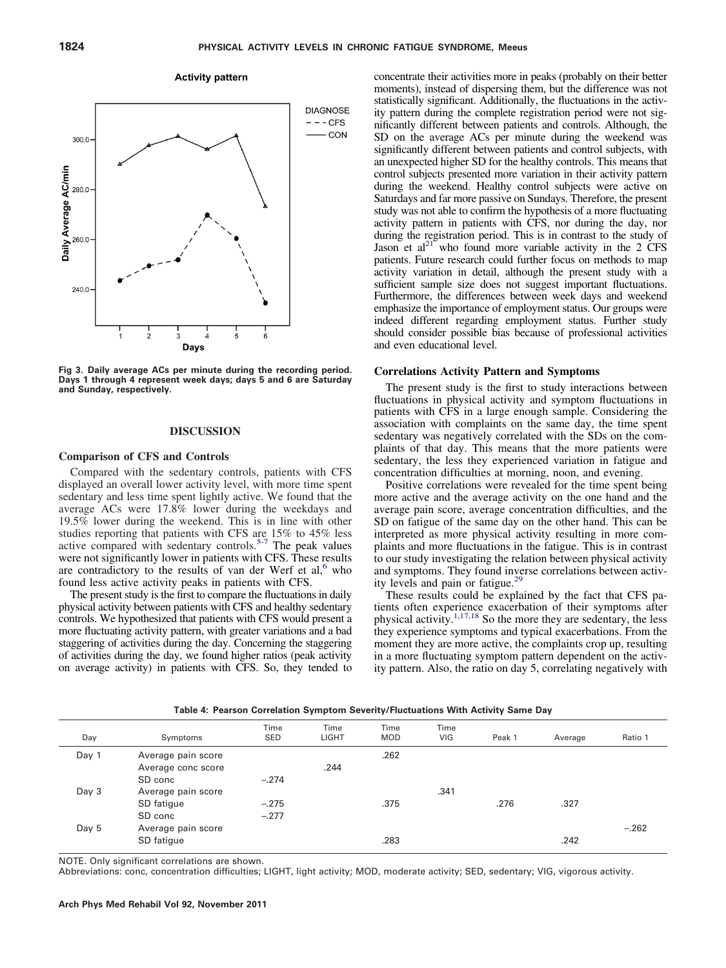

**Activity pattern** 

<span id="page-4-0"></span>**Fig 3. Daily average ACs per minute during the recording period. Days 1 through 4 represent week days; days 5 and 6 are Saturday and Sunday, respectively.**

## **DISCUSSION**

## **Comparison of CFS and Controls**

Compared with the sedentary controls, patients with CFS displayed an overall lower activity level, with more time spent sedentary and less time spent lightly active. We found that the average ACs were 17.8% lower during the weekdays and 19.5% lower during the weekend. This is in line with other studies reporting that patients with CFS are 15% to 45% less active compared with sedentary controls.[5-7](#page-6-19) The peak values were not significantly lower in patients with CFS. These results are contradictory to the results of van der Werf et al, $6$  who found less active activity peaks in patients with CFS.

The present study is the first to compare the fluctuations in daily physical activity between patients with CFS and healthy sedentary controls. We hypothesized that patients with CFS would present a more fluctuating activity pattern, with greater variations and a bad staggering of activities during the day. Concerning the staggering of activities during the day, we found higher ratios (peak activity on average activity) in patients with CFS. So, they tended to

concentrate their activities more in peaks (probably on their better moments), instead of dispersing them, but the difference was not statistically significant. Additionally, the fluctuations in the activity pattern during the complete registration period were not significantly different between patients and controls. Although, the SD on the average ACs per minute during the weekend was significantly different between patients and control subjects, with an unexpected higher SD for the healthy controls. This means that control subjects presented more variation in their activity pattern during the weekend. Healthy control subjects were active on Saturdays and far more passive on Sundays. Therefore, the present study was not able to confirm the hypothesis of a more fluctuating activity pattern in patients with CFS, nor during the day, nor during the registration period. This is in contrast to the study of Jason et  $al<sup>21</sup>$  who found more variable activity in the 2 CFS patients. Future research could further focus on methods to map activity variation in detail, although the present study with a sufficient sample size does not suggest important fluctuations. Furthermore, the differences between week days and weekend emphasize the importance of employment status. Our groups were indeed different regarding employment status. Further study should consider possible bias because of professional activities and even educational level.

## **Correlations Activity Pattern and Symptoms**

The present study is the first to study interactions between fluctuations in physical activity and symptom fluctuations in patients with CFS in a large enough sample. Considering the association with complaints on the same day, the time spent sedentary was negatively correlated with the SDs on the complaints of that day. This means that the more patients were sedentary, the less they experienced variation in fatigue and concentration difficulties at morning, noon, and evening.

Positive correlations were revealed for the time spent being more active and the average activity on the one hand and the average pain score, average concentration difficulties, and the SD on fatigue of the same day on the other hand. This can be interpreted as more physical activity resulting in more complaints and more fluctuations in the fatigue. This is in contrast to our study investigating the relation between physical activity and symptoms. They found inverse correlations between activity levels and pain or fatigue.<sup>29</sup>

These results could be explained by the fact that CFS patients often experience exacerbation of their symptoms after physical activity.<sup>[1,17,18](#page-6-0)</sup> So the more they are sedentary, the less they experience symptoms and typical exacerbations. From the moment they are more active, the complaints crop up, resulting in a more fluctuating symptom pattern dependent on the activity pattern. Also, the ratio on day 5, correlating negatively with

Day Symptoms Time SED Time **LIGHT** Time MOD Time<br>VIG Peak 1 Average Ratio 1 Day 1 Average pain score .262 Average conc score .244 SD conc –.274 Day 3 Average pain score ... And The State State State State State State State State State State State State S SD fatigue –.275 .375 .276 .327 SD conc –.277

Day 5 Average pain score –.262 SD fatigue ... 242 .283 .242

<span id="page-4-1"></span>**Table 4: Pearson Correlation Symptom Severity/Fluctuations With Activity Same Day**

NOTE. Only significant correlations are shown.

Abbreviations: conc, concentration difficulties; LIGHT, light activity; MOD, moderate activity; SED, sedentary; VIG, vigorous activity.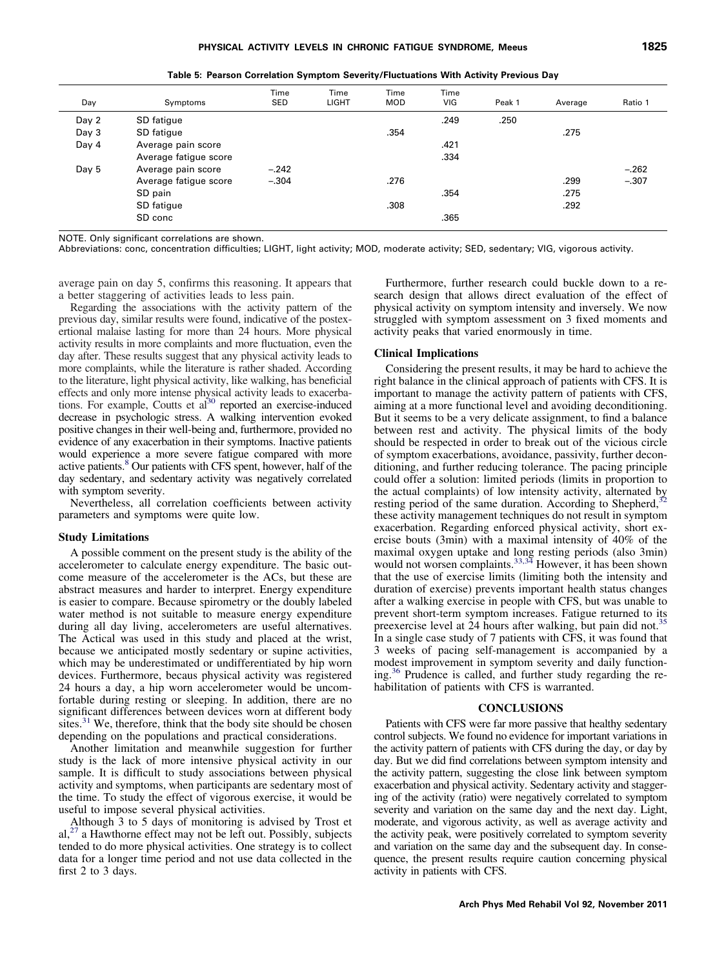<span id="page-5-0"></span>

| Table 5: Pearson Correlation Symptom Severity/Fluctuations With Activity Previous Day |
|---------------------------------------------------------------------------------------|
|---------------------------------------------------------------------------------------|

| Day   | Symptoms              | Time<br><b>SED</b> | Time<br>LIGHT | Time<br><b>MOD</b> | Time<br><b>VIG</b> | Peak 1 | Average | Ratio 1 |
|-------|-----------------------|--------------------|---------------|--------------------|--------------------|--------|---------|---------|
| Day 2 | SD fatigue            |                    |               |                    | .249               | .250   |         |         |
| Day 3 | SD fatigue            |                    |               | .354               |                    |        | .275    |         |
| Day 4 | Average pain score    |                    |               |                    | .421               |        |         |         |
|       | Average fatigue score |                    |               |                    | .334               |        |         |         |
| Day 5 | Average pain score    | $-.242$            |               |                    |                    |        |         | $-.262$ |
|       | Average fatigue score | $-.304$            |               | .276               |                    |        | .299    | $-.307$ |
|       | SD pain               |                    |               |                    | .354               |        | .275    |         |
|       | SD fatigue            |                    |               | .308               |                    |        | .292    |         |
|       | SD conc               |                    |               |                    | .365               |        |         |         |

NOTE. Only significant correlations are shown.

Abbreviations: conc, concentration difficulties; LIGHT, light activity; MOD, moderate activity; SED, sedentary; VIG, vigorous activity.

average pain on day 5, confirms this reasoning. It appears that a better staggering of activities leads to less pain.

Regarding the associations with the activity pattern of the previous day, similar results were found, indicative of the postexertional malaise lasting for more than 24 hours. More physical activity results in more complaints and more fluctuation, even the day after. These results suggest that any physical activity leads to more complaints, while the literature is rather shaded. According to the literature, light physical activity, like walking, has beneficial effects and only more intense physical activity leads to exacerbations. For example, Coutts et al<sup>30</sup> reported an exercise-induced decrease in psychologic stress. A walking intervention evoked positive changes in their well-being and, furthermore, provided no evidence of any exacerbation in their symptoms. Inactive patients would experience a more severe fatigue compared with more active patients.<sup>8</sup> Our patients with CFS spent, however, half of the day sedentary, and sedentary activity was negatively correlated with symptom severity.

Nevertheless, all correlation coefficients between activity parameters and symptoms were quite low.

#### **Study Limitations**

A possible comment on the present study is the ability of the accelerometer to calculate energy expenditure. The basic outcome measure of the accelerometer is the ACs, but these are abstract measures and harder to interpret. Energy expenditure is easier to compare. Because spirometry or the doubly labeled water method is not suitable to measure energy expenditure during all day living, accelerometers are useful alternatives. The Actical was used in this study and placed at the wrist, because we anticipated mostly sedentary or supine activities, which may be underestimated or undifferentiated by hip worn devices. Furthermore, becaus physical activity was registered 24 hours a day, a hip worn accelerometer would be uncomfortable during resting or sleeping. In addition, there are no significant differences between devices worn at different body sites. $31$  We, therefore, think that the body site should be chosen depending on the populations and practical considerations.

Another limitation and meanwhile suggestion for further study is the lack of more intensive physical activity in our sample. It is difficult to study associations between physical activity and symptoms, when participants are sedentary most of the time. To study the effect of vigorous exercise, it would be useful to impose several physical activities.

Although 3 to 5 days of monitoring is advised by Trost et  $al<sup>27</sup>$  $al<sup>27</sup>$  $al<sup>27</sup>$  a Hawthorne effect may not be left out. Possibly, subjects tended to do more physical activities. One strategy is to collect data for a longer time period and not use data collected in the first 2 to 3 days.

Furthermore, further research could buckle down to a research design that allows direct evaluation of the effect of physical activity on symptom intensity and inversely. We now struggled with symptom assessment on 3 fixed moments and activity peaks that varied enormously in time.

#### **Clinical Implications**

Considering the present results, it may be hard to achieve the right balance in the clinical approach of patients with CFS. It is important to manage the activity pattern of patients with CFS, aiming at a more functional level and avoiding deconditioning. But it seems to be a very delicate assignment, to find a balance between rest and activity. The physical limits of the body should be respected in order to break out of the vicious circle of symptom exacerbations, avoidance, passivity, further deconditioning, and further reducing tolerance. The pacing principle could offer a solution: limited periods (limits in proportion to the actual complaints) of low intensity activity, alternated by resting period of the same duration. According to Shepherd,<sup>3</sup> these activity management techniques do not result in symptom exacerbation. Regarding enforced physical activity, short exercise bouts (3min) with a maximal intensity of 40% of the maximal oxygen uptake and long resting periods (also 3min)<br>would not worsen complaints.<sup>[33,34](#page-6-28)</sup> However, it has been shown that the use of exercise limits (limiting both the intensity and duration of exercise) prevents important health status changes after a walking exercise in people with CFS, but was unable to prevent short-term symptom increases. Fatigue returned to its preexercise level at 24 hours after walking, but pain did not.<sup>35</sup> In a single case study of 7 patients with CFS, it was found that 3 weeks of pacing self-management is accompanied by a modest improvement in symptom severity and daily function-ing.<sup>[36](#page-6-30)</sup> Prudence is called, and further study regarding the rehabilitation of patients with CFS is warranted.

## **CONCLUSIONS**

Patients with CFS were far more passive that healthy sedentary control subjects. We found no evidence for important variations in the activity pattern of patients with CFS during the day, or day by day. But we did find correlations between symptom intensity and the activity pattern, suggesting the close link between symptom exacerbation and physical activity. Sedentary activity and staggering of the activity (ratio) were negatively correlated to symptom severity and variation on the same day and the next day. Light, moderate, and vigorous activity, as well as average activity and the activity peak, were positively correlated to symptom severity and variation on the same day and the subsequent day. In consequence, the present results require caution concerning physical activity in patients with CFS.